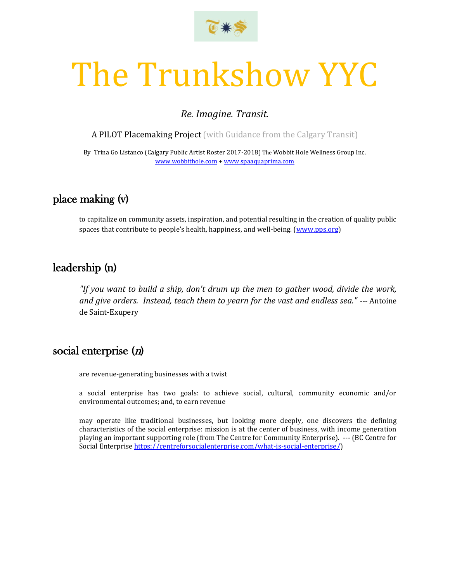

# The Trunkshow YYC

## *Re. Imagine. Transit.*

A PILOT Placemaking Project (with Guidance from the Calgary Transit)

By Trina Go Listanco (Calgary Public Artist Roster 2017-2018) The Wobbit Hole Wellness Group Inc. [www.wobbithole.com](http://www.wobbithole.com/) + [www.spaaquaprima.com](http://www.spaaquaprima.com/)

## place making (v)

to capitalize on community assets, inspiration, and potential resulting in the creation of quality public spaces that contribute to people's health, happiness, and well-being. [\(www.pps.org\)](http://www.pps.org/)

## leadership (n)

*"If you want to build a ship, don't drum up the men to gather wood, divide the work, and give orders. Instead, teach them to yearn for the vast and endless sea." ---* Antoine de Saint-Exupery

# social enterprise (n)

are revenue-generating businesses with a twist

a social enterprise has two goals: to achieve social, cultural, community economic and/or environmental outcomes; and, to earn revenue

may operate like traditional businesses, but looking more deeply, one discovers the defining characteristics of the social enterprise: mission is at the center of business, with income generation playing an important supporting role (from The Centre for Community Enterprise). --- (BC Centre for Social Enterprise [https://centreforsocialenterprise.com/what-is-social-enterprise/\)](https://centreforsocialenterprise.com/what-is-social-enterprise/)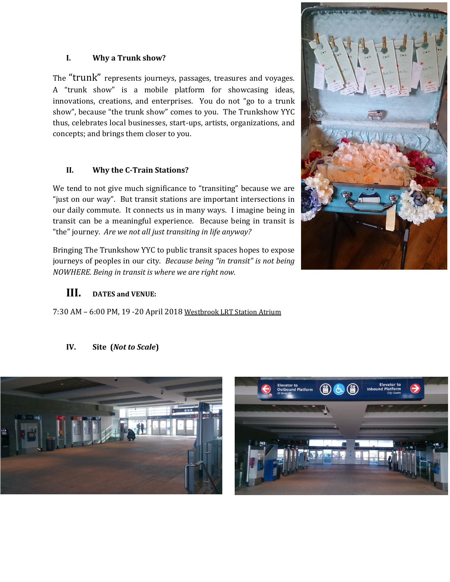### **I. Why a Trunk show?**

The "trunk" represents journeys, passages, treasures and voyages. A "trunk show" is a mobile platform for showcasing ideas, innovations, creations, and enterprises. You do not "go to a trunk show", because "the trunk show" comes to you. The Trunkshow YYC thus, celebrates local businesses, start-ups, artists, organizations, and concepts; and brings them closer to you.

## **II. Why the C-Train Stations?**

We tend to not give much significance to "transiting" because we are "just on our way". But transit stations are important intersections in our daily commute. It connects us in many ways. I imagine being in transit can be a meaningful experience. Because being in transit is "the" journey. *Are we not all just transiting in life anyway?*

Bringing The Trunkshow YYC to public transit spaces hopes to expose journeys of peoples in our city. *Because being "in transit" is not being NOWHERE. Being in transit is where we are right now.*

## **III. DATES and VENUE:**

7:30 AM – 6:00 PM, 19 -20 April 2018 Westbrook LRT Station Atrium

#### **IV. Site (***Not to Scale***)**





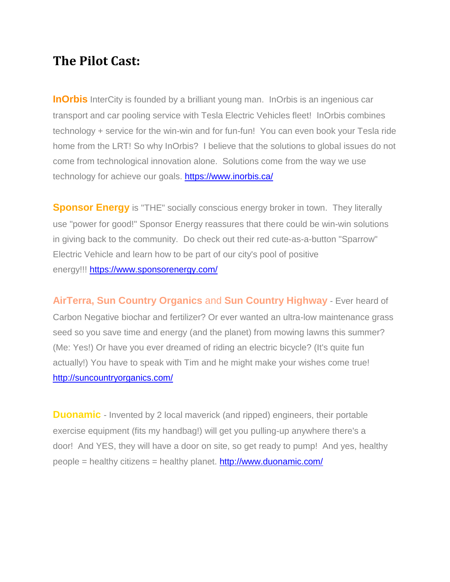# **The Pilot Cast:**

**InOrbis** InterCity is founded by a brilliant young man. InOrbis is an ingenious car transport and car pooling service with Tesla Electric Vehicles fleet! InOrbis combines technology + service for the win-win and for fun-fun! You can even book your Tesla ride home from the LRT! So why InOrbis? I believe that the solutions to global issues do not come from technological innovation alone. Solutions come from the way we use technology for achieve our goals. <https://www.inorbis.ca/>

**Sponsor Energy** is "THE" socially conscious energy broker in town. They literally use "power for good!" Sponsor Energy reassures that there could be win-win solutions in giving back to the community. Do check out their red cute-as-a-button "Sparrow" Electric Vehicle and learn how to be part of our city's pool of positive energy!!! <https://www.sponsorenergy.com/>

**AirTerra, Sun Country Organics** and **Sun Country Highway** - Ever heard of Carbon Negative biochar and fertilizer? Or ever wanted an ultra-low maintenance grass seed so you save time and energy (and the planet) from mowing lawns this summer? (Me: Yes!) Or have you ever dreamed of riding an electric bicycle? (It's quite fun actually!) You have to speak with Tim and he might make your wishes come true! <http://suncountryorganics.com/>

**Duonamic** - Invented by 2 local maverick (and ripped) engineers, their portable exercise equipment (fits my handbag!) will get you pulling-up anywhere there's a door! And YES, they will have a door on site, so get ready to pump! And yes, healthy people = healthy citizens = healthy planet. <http://www.duonamic.com/>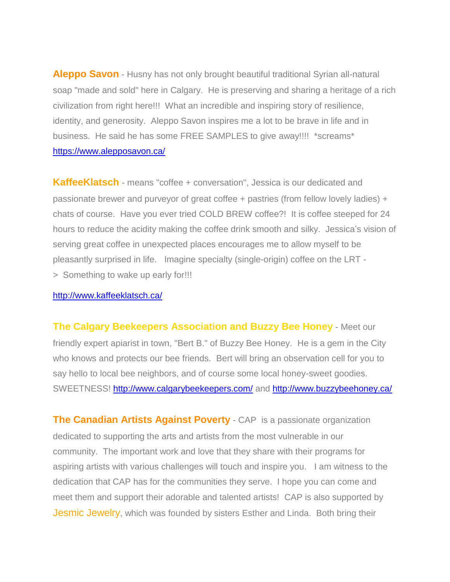**Aleppo Savon** - Husny has not only brought beautiful traditional Syrian all-natural soap "made and sold" here in Calgary. He is preserving and sharing a heritage of a rich civilization from right here!!! What an incredible and inspiring story of resilience, identity, and generosity. Aleppo Savon inspires me a lot to be brave in life and in business. He said he has some FREE SAMPLES to give away!!!! \*screams\* <https://www.alepposavon.ca/>

**KaffeeKlatsch** - means "coffee + conversation", Jessica is our dedicated and passionate brewer and purveyor of great coffee + pastries (from fellow lovely ladies) + chats of course. Have you ever tried COLD BREW coffee?! It is coffee steeped for 24 hours to reduce the acidity making the coffee drink smooth and silky. Jessica's vision of serving great coffee in unexpected places encourages me to allow myself to be pleasantly surprised in life. Imagine specialty (single-origin) coffee on the LRT - > Something to wake up early for!!!

### <http://www.kaffeeklatsch.ca/>

**The Calgary Beekeepers Association and Buzzy Bee Honey** - Meet our friendly expert apiarist in town, "Bert B." of Buzzy Bee Honey. He is a gem in the City who knows and protects our bee friends. Bert will bring an observation cell for you to say hello to local bee neighbors, and of course some local honey-sweet goodies. SWEETNESS! <http://www.calgarybeekeepers.com/> and<http://www.buzzybeehoney.ca/>

**The Canadian Artists Against Poverty** - CAP is a passionate organization dedicated to supporting the arts and artists from the most vulnerable in our community. The important work and love that they share with their programs for aspiring artists with various challenges will touch and inspire you. I am witness to the dedication that CAP has for the communities they serve. I hope you can come and meet them and support their adorable and talented artists! CAP is also supported by Jesmic Jewelry, which was founded by sisters Esther and Linda. Both bring their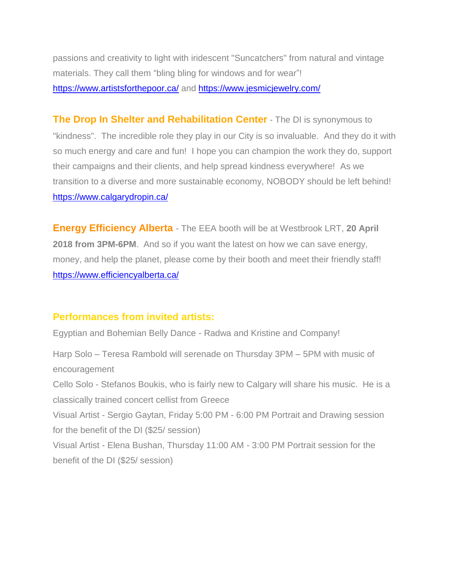passions and creativity to light with iridescent "Suncatchers" from natural and vintage materials. They call them "bling bling for windows and for wear"! <https://www.artistsforthepoor.ca/> and<https://www.jesmicjewelry.com/>

**The Drop In Shelter and Rehabilitation Center** - The DI is synonymous to "kindness". The incredible role they play in our City is so invaluable. And they do it with so much energy and care and fun! I hope you can champion the work they do, support their campaigns and their clients, and help spread kindness everywhere! As we transition to a diverse and more sustainable economy, NOBODY should be left behind! <https://www.calgarydropin.ca/>

**Energy Efficiency Alberta** - The EEA booth will be at Westbrook LRT, **20 April 2018 from 3PM-6PM**. And so if you want the latest on how we can save energy, money, and help the planet, please come by their booth and meet their friendly staff! <https://www.efficiencyalberta.ca/>

## **Performances from invited artists:**

Egyptian and Bohemian Belly Dance - Radwa and Kristine and Company!

Harp Solo – Teresa Rambold will serenade on Thursday 3PM – 5PM with music of encouragement Cello Solo - Stefanos Boukis, who is fairly new to Calgary will share his music. He is a classically trained concert cellist from Greece Visual Artist - Sergio Gaytan, Friday 5:00 PM - 6:00 PM Portrait and Drawing session for the benefit of the DI (\$25/ session) Visual Artist - Elena Bushan, Thursday 11:00 AM - 3:00 PM Portrait session for the benefit of the DI (\$25/ session)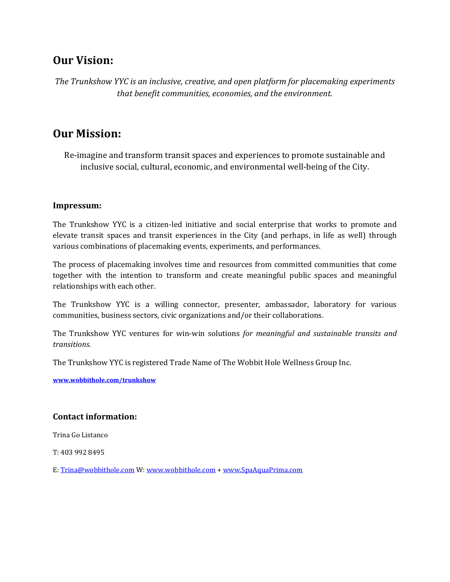# **Our Vision:**

*The Trunkshow YYC is an inclusive, creative, and open platform for placemaking experiments that benefit communities, economies, and the environment.*

# **Our Mission:**

Re-imagine and transform transit spaces and experiences to promote sustainable and inclusive social, cultural, economic, and environmental well-being of the City.

## **Impressum:**

The Trunkshow YYC is a citizen-led initiative and social enterprise that works to promote and elevate transit spaces and transit experiences in the City (and perhaps, in life as well) through various combinations of placemaking events, experiments, and performances.

The process of placemaking involves time and resources from committed communities that come together with the intention to transform and create meaningful public spaces and meaningful relationships with each other.

The Trunkshow YYC is a willing connector, presenter, ambassador, laboratory for various communities, business sectors, civic organizations and/or their collaborations.

The Trunkshow YYC ventures for win-win solutions *for meaningful and sustainable transits and transitions.* 

The Trunkshow YYC is registered Trade Name of The Wobbit Hole Wellness Group Inc.

**[www.wobbithole.com/trunkshow](http://www.wobbithole.com/trunkshow)**

## **Contact information:**

Trina Go Listanco

T: 403 992 8495

E[: Trina@wobbithole.com](mailto:Trina@wobbithole.com) W[: www.wobbithole.com](http://www.wobbithole.com/) [+ www.SpaAquaPrima.com](http://www.spaaquaprima.com/)